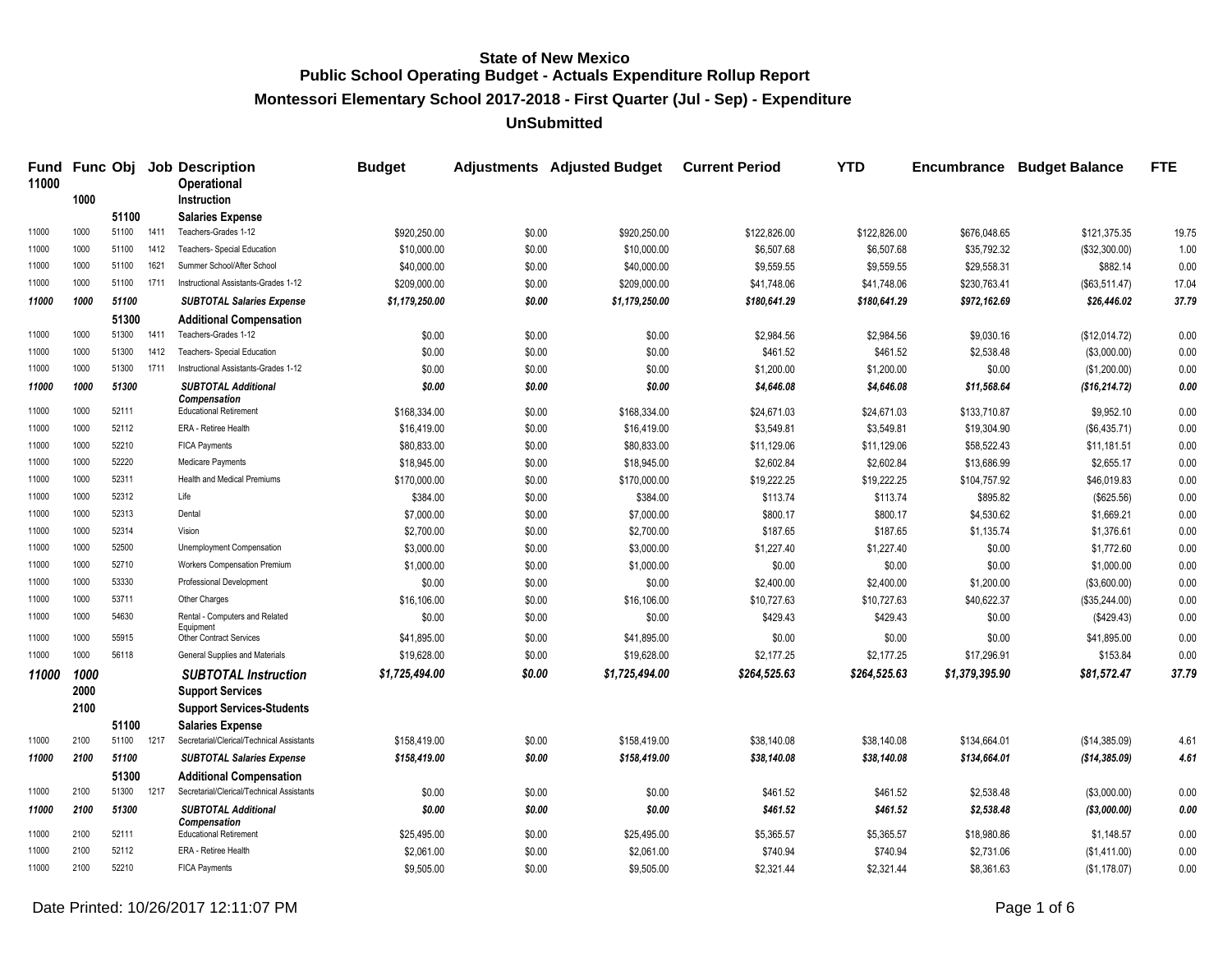**Montessori Elementary School 2017-2018 - First Quarter (Jul - Sep) - Expenditure**

| <b>Fund</b><br>11000 |      |                |      | <b>Func Obj Job Description</b><br>Operational                              | <b>Budget</b>  |        | <b>Adjustments</b> Adjusted Budget | <b>Current Period</b> | <b>YTD</b>   | <b>Encumbrance</b> | <b>Budget Balance</b> | <b>FTE</b> |
|----------------------|------|----------------|------|-----------------------------------------------------------------------------|----------------|--------|------------------------------------|-----------------------|--------------|--------------------|-----------------------|------------|
|                      | 1000 |                |      | <b>Instruction</b>                                                          |                |        |                                    |                       |              |                    |                       |            |
| 11000                | 1000 | 51100<br>51100 | 1411 | <b>Salaries Expense</b><br>Teachers-Grades 1-12                             |                |        |                                    |                       |              |                    |                       |            |
| 11000                | 1000 |                |      | Teachers- Special Education                                                 | \$920,250.00   | \$0.00 | \$920,250.00                       | \$122,826.00          | \$122,826.00 | \$676,048.65       | \$121,375.35          | 19.75      |
|                      |      | 51100          | 1412 |                                                                             | \$10,000.00    | \$0.00 | \$10,000.00                        | \$6,507.68            | \$6,507.68   | \$35,792.32        | (\$32,300.00)         | 1.00       |
| 11000                | 1000 | 51100          | 1621 | Summer School/After School                                                  | \$40,000.00    | \$0.00 | \$40,000.00                        | \$9,559.55            | \$9,559.55   | \$29,558.31        | \$882.14              | 0.00       |
| 11000                | 1000 | 51100          | 1711 | Instructional Assistants-Grades 1-12                                        | \$209,000.00   | \$0.00 | \$209,000.00                       | \$41,748.06           | \$41,748.06  | \$230,763.41       | (\$63,511.47)         | 17.04      |
| 11000                | 1000 | 51100          |      | <b>SUBTOTAL Salaries Expense</b>                                            | \$1,179,250.00 | \$0.00 | \$1,179,250.00                     | \$180,641.29          | \$180,641.29 | \$972,162.69       | \$26,446.02           | 37.79      |
|                      |      | 51300          |      | <b>Additional Compensation</b>                                              |                |        |                                    |                       |              |                    |                       |            |
| 11000                | 1000 | 51300          | 1411 | Teachers-Grades 1-12                                                        | \$0.00         | \$0.00 | \$0.00                             | \$2,984.56            | \$2,984.56   | \$9,030.16         | (\$12,014.72)         | 0.00       |
| 11000                | 1000 | 51300          | 1412 | Teachers- Special Education                                                 | \$0.00         | \$0.00 | \$0.00                             | \$461.52              | \$461.52     | \$2,538.48         | (\$3,000.00)          | 0.00       |
| 11000                | 1000 | 51300          | 1711 | Instructional Assistants-Grades 1-12                                        | \$0.00         | \$0.00 | \$0.00                             | \$1,200.00            | \$1,200.00   | \$0.00             | (\$1,200.00)          | 0.00       |
| 11000                | 1000 | 51300          |      | <b>SUBTOTAL Additional</b><br><b>Compensation</b>                           | \$0.00         | \$0.00 | \$0.00                             | \$4,646.08            | \$4,646.08   | \$11,568.64        | (\$16, 214.72)        | 0.00       |
| 11000                | 1000 | 52111          |      | <b>Educational Retirement</b>                                               | \$168,334.00   | \$0.00 | \$168,334.00                       | \$24,671.03           | \$24,671.03  | \$133,710.87       | \$9,952.10            | 0.00       |
| 11000                | 1000 | 52112          |      | ERA - Retiree Health                                                        | \$16,419.00    | \$0.00 | \$16,419.00                        | \$3,549.81            | \$3,549.81   | \$19,304.90        | (\$6,435.71)          | 0.00       |
| 11000                | 1000 | 52210          |      | <b>FICA Payments</b>                                                        | \$80,833.00    | \$0.00 | \$80,833.00                        | \$11,129.06           | \$11,129.06  | \$58,522.43        | \$11,181.51           | 0.00       |
| 11000                | 1000 | 52220          |      | Medicare Payments                                                           | \$18,945.00    | \$0.00 | \$18,945.00                        | \$2,602.84            | \$2,602.84   | \$13,686.99        | \$2,655.17            | 0.00       |
| 11000                | 1000 | 52311          |      | Health and Medical Premiums                                                 | \$170,000.00   | \$0.00 | \$170,000.00                       | \$19,222.25           | \$19,222.25  | \$104,757.92       | \$46,019.83           | 0.00       |
| 11000                | 1000 | 52312          |      | Life                                                                        | \$384.00       | \$0.00 | \$384.00                           | \$113.74              | \$113.74     | \$895.82           | (\$625.56)            | 0.00       |
| 11000                | 1000 | 52313          |      | Dental                                                                      | \$7,000.00     | \$0.00 | \$7,000.00                         | \$800.17              | \$800.17     | \$4,530.62         | \$1,669.21            | 0.00       |
| 11000                | 1000 | 52314          |      | Vision                                                                      | \$2,700.00     | \$0.00 | \$2,700.00                         | \$187.65              | \$187.65     | \$1,135.74         | \$1,376.61            | 0.00       |
| 11000                | 1000 | 52500          |      | Unemployment Compensation                                                   | \$3,000.00     | \$0.00 | \$3,000.00                         | \$1,227.40            | \$1,227.40   | \$0.00             | \$1,772.60            | 0.00       |
| 11000                | 1000 | 52710          |      | <b>Workers Compensation Premium</b>                                         | \$1,000.00     | \$0.00 | \$1,000.00                         | \$0.00                | \$0.00       | \$0.00             | \$1,000.00            | 0.00       |
| 11000                | 1000 | 53330          |      | Professional Development                                                    | \$0.00         | \$0.00 | \$0.00                             | \$2,400.00            | \$2,400.00   | \$1,200.00         | (\$3,600.00)          | 0.00       |
| 11000                | 1000 | 53711          |      | Other Charges                                                               | \$16,106.00    | \$0.00 | \$16,106.00                        | \$10,727.63           | \$10,727.63  | \$40,622.37        | (\$35,244.00)         | 0.00       |
| 11000                | 1000 | 54630          |      | Rental - Computers and Related                                              | \$0.00         | \$0.00 | \$0.00                             | \$429.43              | \$429.43     | \$0.00             | (\$429.43)            | 0.00       |
| 11000                | 1000 | 55915          |      | Equipment<br><b>Other Contract Services</b>                                 | \$41,895.00    | \$0.00 | \$41,895.00                        | \$0.00                | \$0.00       | \$0.00             | \$41,895.00           | 0.00       |
| 11000                | 1000 | 56118          |      | General Supplies and Materials                                              | \$19,628.00    | \$0.00 | \$19,628.00                        | \$2,177.25            | \$2,177.25   | \$17,296.91        | \$153.84              | 0.00       |
| 11000                | 1000 |                |      | <b>SUBTOTAL Instruction</b>                                                 | \$1,725,494.00 | \$0.00 | \$1,725,494.00                     | \$264,525.63          | \$264,525.63 | \$1,379,395.90     | \$81,572.47           | 37.79      |
|                      | 2000 |                |      | <b>Support Services</b>                                                     |                |        |                                    |                       |              |                    |                       |            |
|                      | 2100 |                |      | <b>Support Services-Students</b>                                            |                |        |                                    |                       |              |                    |                       |            |
|                      |      | 51100          |      | <b>Salaries Expense</b>                                                     |                |        |                                    |                       |              |                    |                       |            |
| 11000                | 2100 | 51100          | 1217 | Secretarial/Clerical/Technical Assistants                                   | \$158,419.00   | \$0.00 | \$158,419.00                       | \$38,140.08           | \$38,140.08  | \$134,664.01       | (\$14,385.09)         | 4.61       |
| 11000                | 2100 | 51100          |      | <b>SUBTOTAL Salaries Expense</b>                                            | \$158,419.00   | \$0.00 | \$158,419.00                       | \$38,140.08           | \$38,140.08  | \$134,664.01       | (\$14,385.09)         | 4.61       |
|                      |      | 51300          |      |                                                                             |                |        |                                    |                       |              |                    |                       |            |
| 11000                | 2100 | 51300          | 1217 | <b>Additional Compensation</b><br>Secretarial/Clerical/Technical Assistants | \$0.00         | \$0.00 | \$0.00                             | \$461.52              | \$461.52     | \$2,538.48         | (\$3,000.00)          | 0.00       |
| 11000                | 2100 | 51300          |      | <b>SUBTOTAL Additional</b>                                                  | \$0.00         | \$0.00 | \$0.00                             | \$461.52              | \$461.52     | \$2,538.48         | (\$3,000.00)          | 0.00       |
|                      |      |                |      | <b>Compensation</b>                                                         |                |        |                                    |                       |              |                    |                       |            |
| 11000                | 2100 | 52111          |      | <b>Educational Retirement</b>                                               | \$25,495.00    | \$0.00 | \$25,495.00                        | \$5,365.57            | \$5,365.57   | \$18,980.86        | \$1,148.57            | 0.00       |
| 11000                | 2100 | 52112          |      | ERA - Retiree Health                                                        | \$2,061.00     | \$0.00 | \$2,061.00                         | \$740.94              | \$740.94     | \$2,731.06         | (\$1,411.00)          | 0.00       |
| 11000                | 2100 | 52210          |      | <b>FICA Payments</b>                                                        | \$9,505.00     | \$0.00 | \$9,505.00                         | \$2.321.44            | \$2.321.44   | \$8,361.63         | (\$1,178.07)          | 0.00       |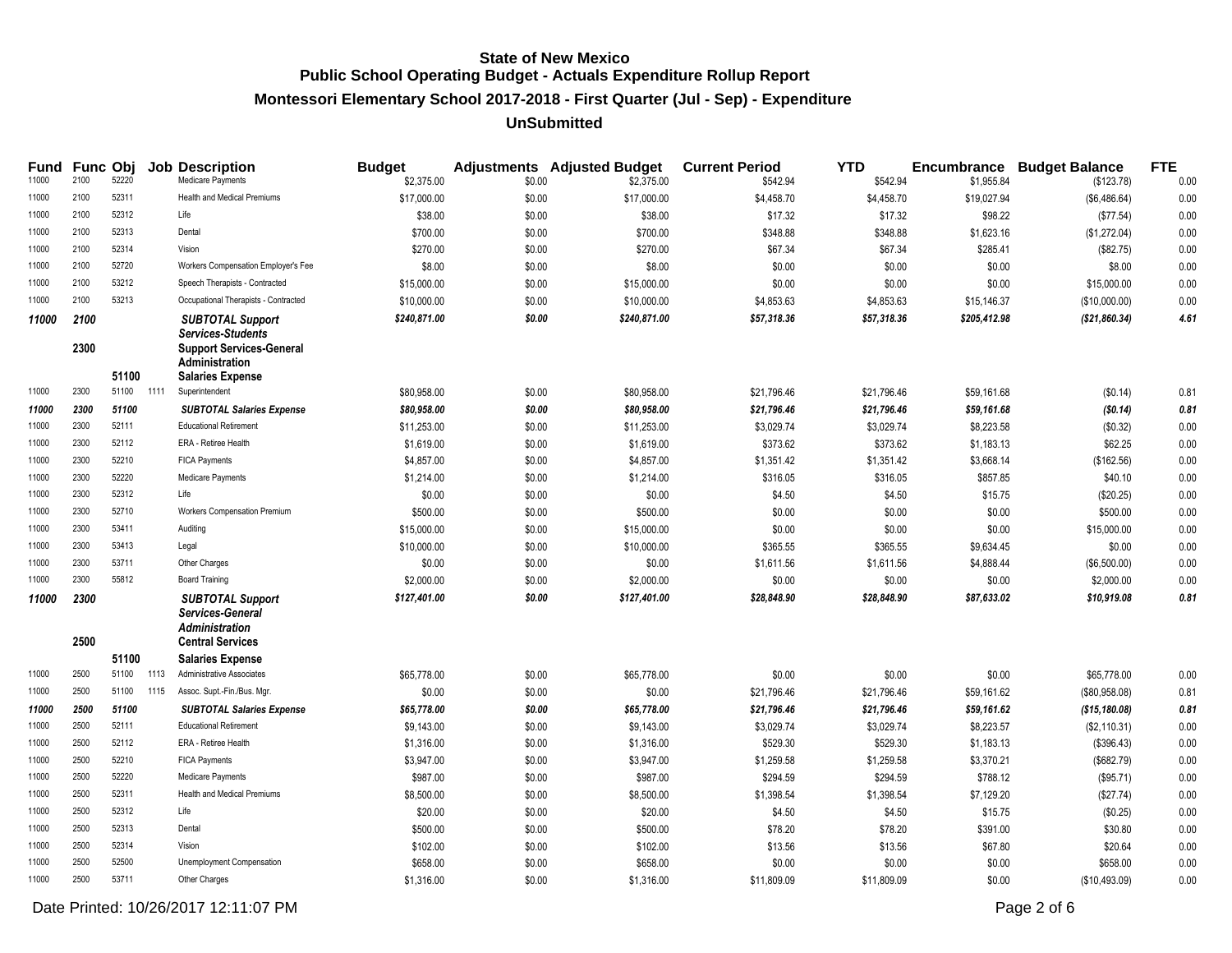# **Montessori Elementary School 2017-2018 - First Quarter (Jul - Sep) - Expenditure**

### **UnSubmitted**

| Fund<br>11000 | <b>Func Obj</b><br>2100 | 52220 |      | <b>Job Description</b><br>Medicare Payments                                                                     | <b>Budget</b><br>\$2,375.00 | \$0.00 | <b>Adjustments</b> Adjusted Budget<br>\$2,375.00 | <b>Current Period</b><br>\$542.94 | <b>YTD</b><br>\$542.94 | \$1,955.84   | <b>Encumbrance Budget Balance</b> | <b>FTE</b><br>0.00 |
|---------------|-------------------------|-------|------|-----------------------------------------------------------------------------------------------------------------|-----------------------------|--------|--------------------------------------------------|-----------------------------------|------------------------|--------------|-----------------------------------|--------------------|
| 11000         | 2100                    | 52311 |      | <b>Health and Medical Premiums</b>                                                                              | \$17,000.00                 | \$0.00 | \$17,000.00                                      | \$4,458.70                        | \$4,458.70             | \$19,027.94  | (\$123.78)<br>(\$6,486.64)        | 0.00               |
| 11000         | 2100                    | 52312 |      | Life                                                                                                            | \$38.00                     | \$0.00 | \$38.00                                          | \$17.32                           | \$17.32                | \$98.22      | (\$77.54)                         | 0.00               |
| 11000         | 2100                    | 52313 |      | Dental                                                                                                          | \$700.00                    | \$0.00 | \$700.00                                         |                                   | \$348.88               |              |                                   |                    |
| 11000         | 2100                    | 52314 |      | Vision                                                                                                          |                             |        |                                                  | \$348.88                          |                        | \$1,623.16   | (\$1,272.04)                      | 0.00               |
|               | 2100                    | 52720 |      |                                                                                                                 | \$270.00                    | \$0.00 | \$270.00                                         | \$67.34                           | \$67.34                | \$285.41     | (\$82.75)                         | 0.00               |
| 11000         |                         | 53212 |      | Workers Compensation Employer's Fee                                                                             | \$8.00                      | \$0.00 | \$8.00                                           | \$0.00                            | \$0.00                 | \$0.00       | \$8.00                            | 0.00               |
| 11000         | 2100                    |       |      | Speech Therapists - Contracted                                                                                  | \$15,000.00                 | \$0.00 | \$15,000.00                                      | \$0.00                            | \$0.00                 | \$0.00       | \$15,000.00                       | 0.00               |
| 11000         | 2100                    | 53213 |      | Occupational Therapists - Contracted                                                                            | \$10,000.00                 | \$0.00 | \$10,000.00                                      | \$4,853.63                        | \$4,853.63             | \$15,146.37  | (\$10,000.00)                     | 0.00               |
| 11000         | 2100<br>2300            |       |      | <b>SUBTOTAL Support</b><br><b>Services-Students</b><br><b>Support Services-General</b><br><b>Administration</b> | \$240,871.00                | \$0.00 | \$240,871.00                                     | \$57,318.36                       | \$57,318.36            | \$205,412.98 | (\$21,860.34)                     | 4.61               |
|               |                         | 51100 |      | <b>Salaries Expense</b>                                                                                         |                             |        |                                                  |                                   |                        |              |                                   |                    |
| 11000         | 2300                    | 51100 | 1111 | Superintendent                                                                                                  | \$80,958.00                 | \$0.00 | \$80,958.00                                      | \$21,796.46                       | \$21,796.46            | \$59,161.68  | (\$0.14)                          | 0.81               |
| 11000         | 2300                    | 51100 |      | <b>SUBTOTAL Salaries Expense</b>                                                                                | \$80,958.00                 | \$0.00 | \$80,958.00                                      | \$21,796.46                       | \$21,796.46            | \$59,161.68  | (\$0.14)                          | 0.81               |
| 11000         | 2300                    | 52111 |      | <b>Educational Retirement</b>                                                                                   | \$11,253.00                 | \$0.00 | \$11,253.00                                      | \$3,029.74                        | \$3,029.74             | \$8,223.58   | (\$0.32)                          | 0.00               |
| 11000         | 2300                    | 52112 |      | ERA - Retiree Health                                                                                            | \$1,619.00                  | \$0.00 | \$1,619.00                                       | \$373.62                          | \$373.62               | \$1,183.13   | \$62.25                           | 0.00               |
| 11000         | 2300                    | 52210 |      | <b>FICA Payments</b>                                                                                            | \$4,857.00                  | \$0.00 | \$4,857.00                                       | \$1,351.42                        | \$1,351.42             | \$3,668.14   | (\$162.56)                        | 0.00               |
| 11000         | 2300                    | 52220 |      | Medicare Payments                                                                                               | \$1,214.00                  | \$0.00 | \$1,214.00                                       | \$316.05                          | \$316.05               | \$857.85     | \$40.10                           | 0.00               |
| 11000         | 2300                    | 52312 |      | Life                                                                                                            | \$0.00                      | \$0.00 | \$0.00                                           | \$4.50                            | \$4.50                 | \$15.75      | (\$20.25)                         | 0.00               |
| 11000         | 2300                    | 52710 |      | Workers Compensation Premium                                                                                    | \$500.00                    | \$0.00 | \$500.00                                         | \$0.00                            | \$0.00                 | \$0.00       | \$500.00                          | 0.00               |
| 11000         | 2300                    | 53411 |      | Auditing                                                                                                        | \$15,000.00                 | \$0.00 | \$15,000.00                                      | \$0.00                            | \$0.00                 | \$0.00       | \$15,000.00                       | 0.00               |
| 11000         | 2300                    | 53413 |      | Legal                                                                                                           | \$10,000.00                 | \$0.00 | \$10,000.00                                      | \$365.55                          | \$365.55               | \$9,634.45   | \$0.00                            | 0.00               |
| 11000         | 2300                    | 53711 |      | Other Charges                                                                                                   | \$0.00                      | \$0.00 | \$0.00                                           | \$1,611.56                        | \$1,611.56             | \$4,888.44   | (\$6,500.00)                      | 0.00               |
| 11000         | 2300                    | 55812 |      | <b>Board Training</b>                                                                                           | \$2,000.00                  | \$0.00 | \$2,000.00                                       | \$0.00                            | \$0.00                 | \$0.00       | \$2,000.00                        | 0.00               |
| 11000         | 2300<br>2500            |       |      | <b>SUBTOTAL Support</b><br>Services-General<br><b>Administration</b><br><b>Central Services</b>                 | \$127,401.00                | \$0.00 | \$127,401.00                                     | \$28,848.90                       | \$28,848.90            | \$87,633.02  | \$10,919.08                       | 0.81               |
|               |                         | 51100 |      | <b>Salaries Expense</b>                                                                                         |                             |        |                                                  |                                   |                        |              |                                   |                    |
| 11000         | 2500                    | 51100 | 1113 | Administrative Associates                                                                                       | \$65,778.00                 | \$0.00 | \$65,778.00                                      | \$0.00                            | \$0.00                 | \$0.00       | \$65,778.00                       | 0.00               |
| 11000         | 2500                    | 51100 | 1115 | Assoc. Supt.-Fin./Bus. Mgr.                                                                                     | \$0.00                      | \$0.00 | \$0.00                                           | \$21,796.46                       | \$21,796.46            | \$59,161.62  | (\$80,958.08)                     | 0.81               |
| 11000         | 2500                    | 51100 |      | <b>SUBTOTAL Salaries Expense</b>                                                                                | \$65,778.00                 | \$0.00 | \$65,778.00                                      | \$21,796.46                       | \$21,796.46            | \$59,161.62  | (\$15,180.08)                     | 0.81               |
| 11000         | 2500                    | 52111 |      | <b>Educational Retirement</b>                                                                                   | \$9,143.00                  | \$0.00 | \$9,143.00                                       | \$3,029.74                        | \$3,029.74             | \$8,223.57   | (\$2,110.31)                      | 0.00               |
| 11000         | 2500                    | 52112 |      | ERA - Retiree Health                                                                                            | \$1,316.00                  | \$0.00 | \$1,316.00                                       | \$529.30                          | \$529.30               | \$1,183.13   | (\$396.43)                        | 0.00               |
| 11000         | 2500                    | 52210 |      | <b>FICA Payments</b>                                                                                            | \$3,947.00                  | \$0.00 | \$3,947.00                                       | \$1,259.58                        | \$1,259.58             | \$3,370.21   | (\$682.79)                        | 0.00               |
| 11000         | 2500                    | 52220 |      | Medicare Payments                                                                                               | \$987.00                    | \$0.00 | \$987.00                                         | \$294.59                          | \$294.59               | \$788.12     | (\$95.71)                         | 0.00               |
| 11000         | 2500                    | 52311 |      | <b>Health and Medical Premiums</b>                                                                              | \$8,500.00                  | \$0.00 | \$8,500.00                                       | \$1,398.54                        | \$1,398.54             | \$7,129.20   | (\$27.74)                         | 0.00               |
| 11000         | 2500                    | 52312 |      | Life                                                                                                            | \$20.00                     | \$0.00 | \$20.00                                          | \$4.50                            | \$4.50                 | \$15.75      | (\$0.25)                          | 0.00               |
| 11000         | 2500                    | 52313 |      | Dental                                                                                                          | \$500.00                    | \$0.00 | \$500.00                                         | \$78.20                           | \$78.20                | \$391.00     | \$30.80                           | 0.00               |
| 11000         | 2500                    | 52314 |      | Vision                                                                                                          | \$102.00                    | \$0.00 | \$102.00                                         | \$13.56                           | \$13.56                | \$67.80      | \$20.64                           | 0.00               |
| 11000         | 2500                    | 52500 |      | Unemployment Compensation                                                                                       | \$658.00                    | \$0.00 | \$658.00                                         | \$0.00                            | \$0.00                 | \$0.00       | \$658.00                          | 0.00               |
| 11000         | 2500                    | 53711 |      | Other Charges                                                                                                   | \$1,316.00                  | \$0.00 | \$1,316.00                                       | \$11,809.09                       | \$11,809.09            | \$0.00       | (\$10,493.09)                     | 0.00               |

Date Printed: 10/26/2017 12:11:07 PM Page 2 of 6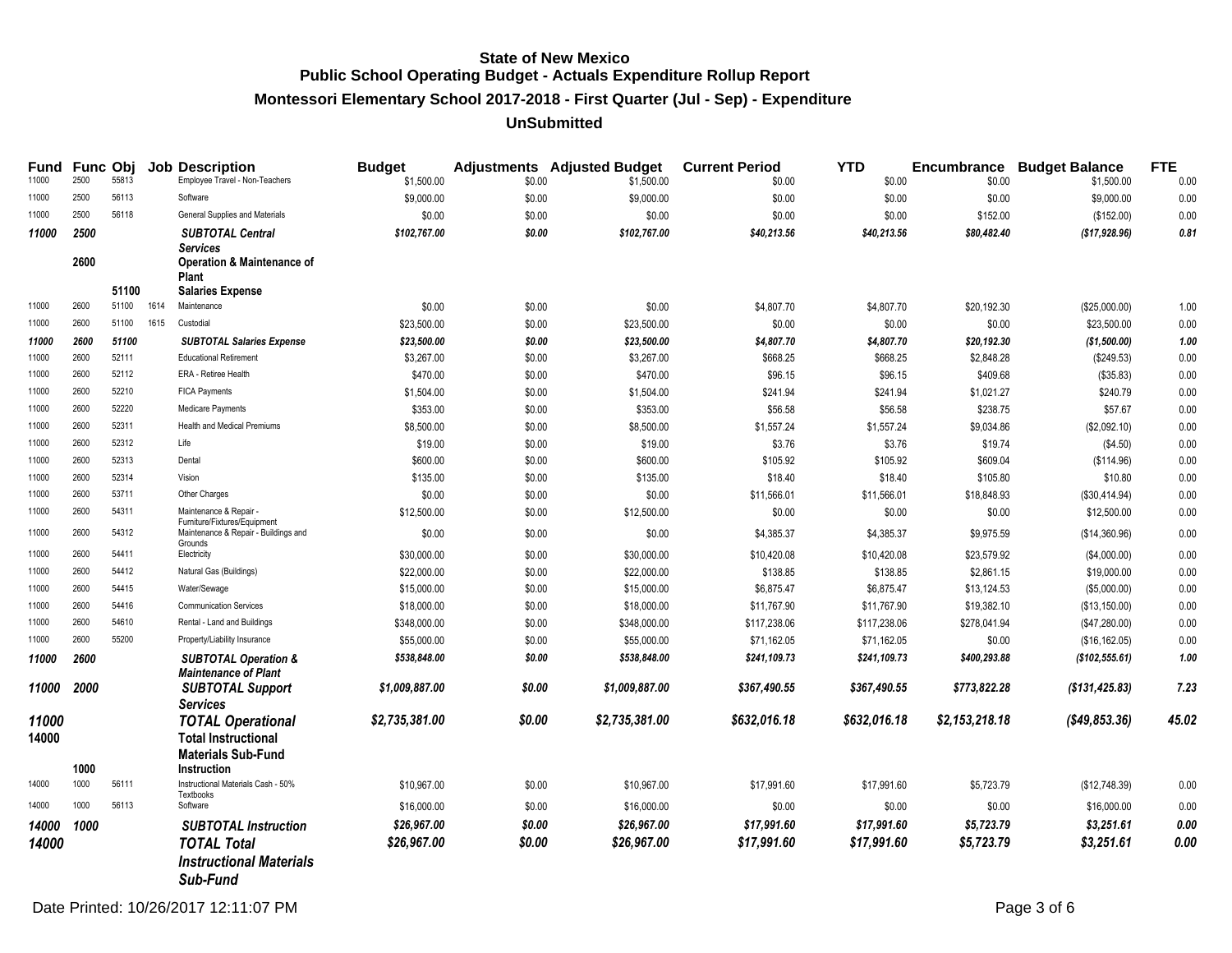# **Montessori Elementary School 2017-2018 - First Quarter (Jul - Sep) - Expenditure**

### **UnSubmitted**

| Fund<br>11000  | 2500 | <b>Func Obj</b><br>55813 |      | <b>Job Description</b><br>Employee Travel - Non-Teachers                                                              | <b>Budget</b><br>\$1,500.00 | \$0.00 | <b>Adjustments</b> Adjusted Budget<br>\$1,500.00 | <b>Current Period</b><br>\$0.00 | <b>YTD</b><br>\$0.00 | \$0.00         | <b>Encumbrance Budget Balance</b><br>\$1,500.00 | <b>FTE</b><br>0.00 |
|----------------|------|--------------------------|------|-----------------------------------------------------------------------------------------------------------------------|-----------------------------|--------|--------------------------------------------------|---------------------------------|----------------------|----------------|-------------------------------------------------|--------------------|
| 11000          | 2500 | 56113                    |      | Software                                                                                                              | \$9,000.00                  | \$0.00 | \$9,000.00                                       | \$0.00                          | \$0.00               | \$0.00         | \$9,000.00                                      | 0.00               |
| 11000          | 2500 | 56118                    |      | General Supplies and Materials                                                                                        | \$0.00                      | \$0.00 | \$0.00                                           | \$0.00                          | \$0.00               | \$152.00       | (\$152.00)                                      | 0.00               |
| 11000          | 2500 |                          |      | <b>SUBTOTAL Central</b>                                                                                               | \$102,767.00                | \$0.00 | \$102,767.00                                     | \$40,213.56                     | \$40,213.56          | \$80,482.40    | ( \$17,928.96)                                  | 0.81               |
|                | 2600 |                          |      | <b>Services</b><br><b>Operation &amp; Maintenance of</b><br>Plant                                                     |                             |        |                                                  |                                 |                      |                |                                                 |                    |
|                |      | 51100                    |      | <b>Salaries Expense</b>                                                                                               |                             |        |                                                  |                                 |                      |                |                                                 |                    |
| 11000          | 2600 | 51100                    | 1614 | Maintenance                                                                                                           | \$0.00                      | \$0.00 | \$0.00                                           | \$4,807.70                      | \$4,807.70           | \$20,192.30    | (\$25,000.00)                                   | 1.00               |
| 11000          | 2600 | 51100                    | 1615 | Custodial                                                                                                             | \$23,500.00                 | \$0.00 | \$23,500.00                                      | \$0.00                          | \$0.00               | \$0.00         | \$23,500.00                                     | 0.00               |
| 11000          | 2600 | 51100                    |      | <b>SUBTOTAL Salaries Expense</b>                                                                                      | \$23,500.00                 | \$0.00 | \$23,500.00                                      | \$4,807.70                      | \$4,807.70           | \$20,192.30    | (\$1,500.00)                                    | 1.00               |
| 11000          | 2600 | 52111                    |      | <b>Educational Retirement</b>                                                                                         | \$3,267.00                  | \$0.00 | \$3,267.00                                       | \$668.25                        | \$668.25             | \$2,848.28     | (\$249.53)                                      | 0.00               |
| 11000          | 2600 | 52112                    |      | ERA - Retiree Health                                                                                                  | \$470.00                    | \$0.00 | \$470.00                                         | \$96.15                         | \$96.15              | \$409.68       | (\$35.83)                                       | 0.00               |
| 11000          | 2600 | 52210                    |      | FICA Payments                                                                                                         | \$1,504.00                  | \$0.00 | \$1,504.00                                       | \$241.94                        | \$241.94             | \$1,021.27     | \$240.79                                        | 0.00               |
| 11000          | 2600 | 52220                    |      | Medicare Payments                                                                                                     | \$353.00                    | \$0.00 | \$353.00                                         | \$56.58                         | \$56.58              | \$238.75       | \$57.67                                         | 0.00               |
| 11000          | 2600 | 52311                    |      | <b>Health and Medical Premiums</b>                                                                                    | \$8,500.00                  | \$0.00 | \$8,500.00                                       | \$1,557.24                      | \$1,557.24           | \$9,034.86     | (\$2,092.10)                                    | 0.00               |
| 11000          | 2600 | 52312                    |      | Life                                                                                                                  | \$19.00                     | \$0.00 | \$19.00                                          | \$3.76                          | \$3.76               | \$19.74        | (\$4.50)                                        | 0.00               |
| 11000          | 2600 | 52313                    |      | Dental                                                                                                                | \$600.00                    | \$0.00 | \$600.00                                         | \$105.92                        | \$105.92             | \$609.04       | (\$114.96)                                      | 0.00               |
| 11000          | 2600 | 52314                    |      | Vision                                                                                                                | \$135.00                    | \$0.00 | \$135.00                                         | \$18.40                         | \$18.40              | \$105.80       | \$10.80                                         | 0.00               |
| 11000          | 2600 | 53711                    |      | Other Charges                                                                                                         | \$0.00                      | \$0.00 | \$0.00                                           | \$11,566.01                     | \$11,566.01          | \$18,848.93    | (\$30,414.94)                                   | 0.00               |
| 11000          | 2600 | 54311                    |      | Maintenance & Repair<br>Furniture/Fixtures/Equipment                                                                  | \$12,500.00                 | \$0.00 | \$12,500.00                                      | \$0.00                          | \$0.00               | \$0.00         | \$12,500.00                                     | 0.00               |
| 11000          | 2600 | 54312                    |      | Maintenance & Repair - Buildings and<br>Grounds                                                                       | \$0.00                      | \$0.00 | \$0.00                                           | \$4,385.37                      | \$4,385.37           | \$9,975.59     | (\$14,360.96)                                   | 0.00               |
| 11000          | 2600 | 54411                    |      | Electricity                                                                                                           | \$30,000.00                 | \$0.00 | \$30,000.00                                      | \$10,420.08                     | \$10,420.08          | \$23,579.92    | (\$4,000.00)                                    | 0.00               |
| 11000          | 2600 | 54412                    |      | Natural Gas (Buildings)                                                                                               | \$22,000.00                 | \$0.00 | \$22,000.00                                      | \$138.85                        | \$138.85             | \$2,861.15     | \$19,000.00                                     | 0.00               |
| 11000          | 2600 | 54415                    |      | Water/Sewage                                                                                                          | \$15,000.00                 | \$0.00 | \$15,000.00                                      | \$6,875.47                      | \$6,875.47           | \$13,124.53    | (\$5,000.00)                                    | 0.00               |
| 11000          | 2600 | 54416                    |      | <b>Communication Services</b>                                                                                         | \$18,000.00                 | \$0.00 | \$18,000.00                                      | \$11,767.90                     | \$11,767.90          | \$19,382.10    | (\$13,150.00)                                   | 0.00               |
| 11000          | 2600 | 54610                    |      | Rental - Land and Buildings                                                                                           | \$348,000.00                | \$0.00 | \$348,000.00                                     | \$117,238.06                    | \$117,238.06         | \$278,041.94   | (\$47,280.00)                                   | 0.00               |
| 11000          | 2600 | 55200                    |      | Property/Liability Insurance                                                                                          | \$55,000.00                 | \$0.00 | \$55,000.00                                      | \$71,162.05                     | \$71,162.05          | \$0.00         | (\$16, 162.05)                                  | 0.00               |
| 11000          | 2600 |                          |      | <b>SUBTOTAL Operation &amp;</b><br><b>Maintenance of Plant</b>                                                        | \$538,848.00                | \$0.00 | \$538,848.00                                     | \$241,109.73                    | \$241,109.73         | \$400,293.88   | (\$102,555.61)                                  | 1.00               |
| 11000          | 2000 |                          |      | <b>SUBTOTAL Support</b>                                                                                               | \$1,009,887.00              | \$0.00 | \$1,009,887.00                                   | \$367,490.55                    | \$367,490.55         | \$773,822.28   | $($ \$131,425.83 $)$                            | 7.23               |
| 11000<br>14000 | 1000 |                          |      | <b>Services</b><br><b>TOTAL Operational</b><br><b>Total Instructional</b><br><b>Materials Sub-Fund</b><br>Instruction | \$2,735,381.00              | \$0.00 | \$2,735,381.00                                   | \$632,016.18                    | \$632,016.18         | \$2,153,218.18 | ( \$49, 853.36)                                 | 45.02              |
| 14000          | 1000 | 56111                    |      | Instructional Materials Cash - 50%                                                                                    | \$10,967.00                 | \$0.00 | \$10,967.00                                      | \$17,991.60                     | \$17,991.60          | \$5,723.79     | (\$12,748.39)                                   | 0.00               |
| 14000          | 1000 | 56113                    |      | Textbooks<br>Software                                                                                                 | \$16,000.00                 | \$0.00 | \$16,000.00                                      | \$0.00                          | \$0.00               | \$0.00         | \$16,000.00                                     | 0.00               |
|                |      |                          |      |                                                                                                                       | \$26,967.00                 | \$0.00 | \$26,967.00                                      | \$17,991.60                     | \$17,991.60          | \$5,723.79     | \$3,251.61                                      | 0.00               |
| 14000          | 1000 |                          |      | <b>SUBTOTAL Instruction</b>                                                                                           |                             |        |                                                  |                                 |                      |                |                                                 |                    |
| 14000          |      |                          |      | TOTAL Total                                                                                                           | \$26,967.00                 | \$0.00 | \$26,967.00                                      | \$17,991.60                     | \$17,991.60          | \$5,723.79     | \$3,251.61                                      | 0.00               |
|                |      |                          |      | <b>Instructional Materials</b><br>Sub-Fund                                                                            |                             |        |                                                  |                                 |                      |                |                                                 |                    |

Date Printed: 10/26/2017 12:11:07 PM Page 3 of 6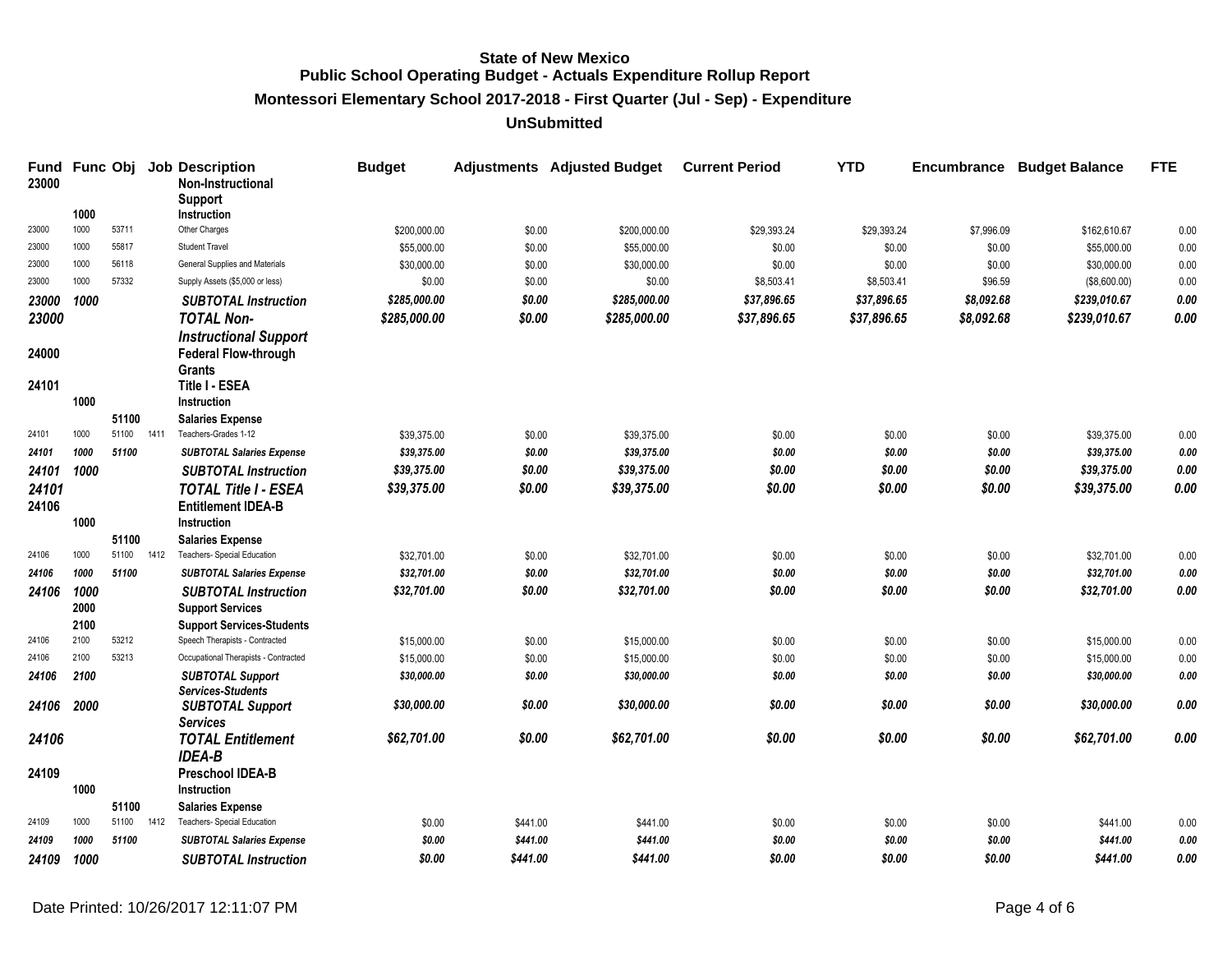**Montessori Elementary School 2017-2018 - First Quarter (Jul - Sep) - Expenditure**

| <b>Fund</b><br>23000 | Func Obj |                |      | <b>Job Description</b><br><b>Non-Instructional</b><br>Support | <b>Budget</b> |          | <b>Adjustments</b> Adjusted Budget | <b>Current Period</b> | <b>YTD</b>  | <b>Encumbrance</b> | <b>Budget Balance</b> | <b>FTE</b> |
|----------------------|----------|----------------|------|---------------------------------------------------------------|---------------|----------|------------------------------------|-----------------------|-------------|--------------------|-----------------------|------------|
|                      | 1000     |                |      | <b>Instruction</b>                                            |               |          |                                    |                       |             |                    |                       |            |
| 23000                | 1000     | 53711          |      | Other Charges                                                 | \$200,000.00  | \$0.00   | \$200,000.00                       | \$29,393.24           | \$29,393.24 | \$7,996.09         | \$162,610.67          | 0.00       |
| 23000                | 1000     | 55817          |      | <b>Student Travel</b>                                         | \$55,000.00   | \$0.00   | \$55,000.00                        | \$0.00                | \$0.00      | \$0.00             | \$55,000.00           | 0.00       |
| 23000                | 1000     | 56118          |      | General Supplies and Materials                                | \$30,000.00   | \$0.00   | \$30,000.00                        | \$0.00                | \$0.00      | \$0.00             | \$30,000.00           | 0.00       |
| 23000                | 1000     | 57332          |      | Supply Assets (\$5,000 or less)                               | \$0.00        | \$0.00   | \$0.00                             | \$8,503.41            | \$8,503.41  | \$96.59            | (\$8,600.00)          | 0.00       |
| 23000                | 1000     |                |      | <b>SUBTOTAL Instruction</b>                                   | \$285,000.00  | \$0.00   | \$285,000.00                       | \$37,896.65           | \$37,896.65 | \$8,092.68         | \$239,010.67          | 0.00       |
| 23000                |          |                |      | <b>TOTAL Non-</b>                                             | \$285,000.00  | \$0.00   | \$285,000.00                       | \$37,896.65           | \$37,896.65 | \$8,092.68         | \$239,010.67          | 0.00       |
|                      |          |                |      | <b>Instructional Support</b>                                  |               |          |                                    |                       |             |                    |                       |            |
| 24000                |          |                |      | <b>Federal Flow-through</b>                                   |               |          |                                    |                       |             |                    |                       |            |
|                      |          |                |      | <b>Grants</b>                                                 |               |          |                                    |                       |             |                    |                       |            |
| 24101                |          |                |      | <b>Title I - ESEA</b>                                         |               |          |                                    |                       |             |                    |                       |            |
|                      | 1000     |                |      | Instruction                                                   |               |          |                                    |                       |             |                    |                       |            |
| 24101                | 1000     | 51100<br>51100 | 1411 | <b>Salaries Expense</b><br>Teachers-Grades 1-12               | \$39,375.00   | \$0.00   | \$39,375.00                        | \$0.00                | \$0.00      | \$0.00             | \$39,375.00           | 0.00       |
| 24101                | 1000     | 51100          |      | <b>SUBTOTAL Salaries Expense</b>                              | \$39,375.00   | \$0.00   | \$39,375.00                        | \$0.00                | \$0.00      | \$0.00             | \$39,375.00           | 0.00       |
| 24101                | 1000     |                |      | <b>SUBTOTAL Instruction</b>                                   | \$39,375.00   | \$0.00   | \$39,375.00                        | \$0.00                | \$0.00      | \$0.00             | \$39,375.00           | $0.00\,$   |
|                      |          |                |      |                                                               |               |          |                                    |                       |             |                    |                       | 0.00       |
| 24101<br>24106       |          |                |      | <b>TOTAL Title I - ESEA</b><br><b>Entitlement IDEA-B</b>      | \$39,375.00   | \$0.00   | \$39,375.00                        | \$0.00                | \$0.00      | \$0.00             | \$39,375.00           |            |
|                      | 1000     |                |      | <b>Instruction</b>                                            |               |          |                                    |                       |             |                    |                       |            |
|                      |          | 51100          |      | <b>Salaries Expense</b>                                       |               |          |                                    |                       |             |                    |                       |            |
| 24106                | 1000     | 51100          | 1412 | Teachers- Special Education                                   | \$32,701.00   | \$0.00   | \$32,701.00                        | \$0.00                | \$0.00      | \$0.00             | \$32,701.00           | 0.00       |
| 24106                | 1000     | 51100          |      | <b>SUBTOTAL Salaries Expense</b>                              | \$32,701.00   | \$0.00   | \$32,701.00                        | \$0.00                | \$0.00      | \$0.00             | \$32,701.00           | 0.00       |
| 24106                | 1000     |                |      | <b>SUBTOTAL Instruction</b>                                   | \$32,701.00   | \$0.00   | \$32,701.00                        | \$0.00                | \$0.00      | \$0.00             | \$32,701.00           | 0.00       |
|                      | 2000     |                |      | <b>Support Services</b>                                       |               |          |                                    |                       |             |                    |                       |            |
|                      | 2100     |                |      | <b>Support Services-Students</b>                              |               |          |                                    |                       |             |                    |                       |            |
| 24106                | 2100     | 53212          |      | Speech Therapists - Contracted                                | \$15,000.00   | \$0.00   | \$15,000.00                        | \$0.00                | \$0.00      | \$0.00             | \$15,000.00           | 0.00       |
| 24106                | 2100     | 53213          |      | Occupational Therapists - Contracted                          | \$15,000.00   | \$0.00   | \$15,000.00                        | \$0.00                | \$0.00      | \$0.00             | \$15,000.00           | 0.00       |
| 24106                | 2100     |                |      | <b>SUBTOTAL Support</b><br><b>Services-Students</b>           | \$30,000.00   | \$0.00   | \$30,000.00                        | \$0.00                | \$0.00      | \$0.00             | \$30,000.00           | 0.00       |
| 24106                | 2000     |                |      | <b>SUBTOTAL Support</b><br><b>Services</b>                    | \$30,000.00   | \$0.00   | \$30,000.00                        | \$0.00                | \$0.00      | \$0.00             | \$30,000.00           | 0.00       |
| 24106                |          |                |      | <b>TOTAL Entitlement</b>                                      | \$62,701.00   | \$0.00   | \$62,701.00                        | \$0.00                | \$0.00      | \$0.00             | \$62,701.00           | 0.00       |
|                      |          |                |      | <b>IDEA-B</b>                                                 |               |          |                                    |                       |             |                    |                       |            |
| 24109                |          |                |      | <b>Preschool IDEA-B</b>                                       |               |          |                                    |                       |             |                    |                       |            |
|                      | 1000     |                |      | <b>Instruction</b>                                            |               |          |                                    |                       |             |                    |                       |            |
| 24109                | 1000     | 51100<br>51100 | 1412 | <b>Salaries Expense</b><br><b>Teachers- Special Education</b> |               | \$441.00 | \$441.00                           |                       | \$0.00      |                    | \$441.00              | 0.00       |
| 24109                | 1000     | 51100          |      |                                                               | \$0.00        | \$441.00 | \$441.00                           | \$0.00<br>\$0.00      | \$0.00      | \$0.00             | \$441.00              | 0.00       |
|                      |          |                |      | <b>SUBTOTAL Salaries Expense</b>                              | \$0.00        |          |                                    |                       |             | \$0.00<br>\$0.00   |                       |            |
| 24109                | 1000     |                |      | <b>SUBTOTAL Instruction</b>                                   | \$0.00        | \$441.00 | \$441.00                           | \$0.00                | \$0.00      |                    | \$441.00              | 0.00       |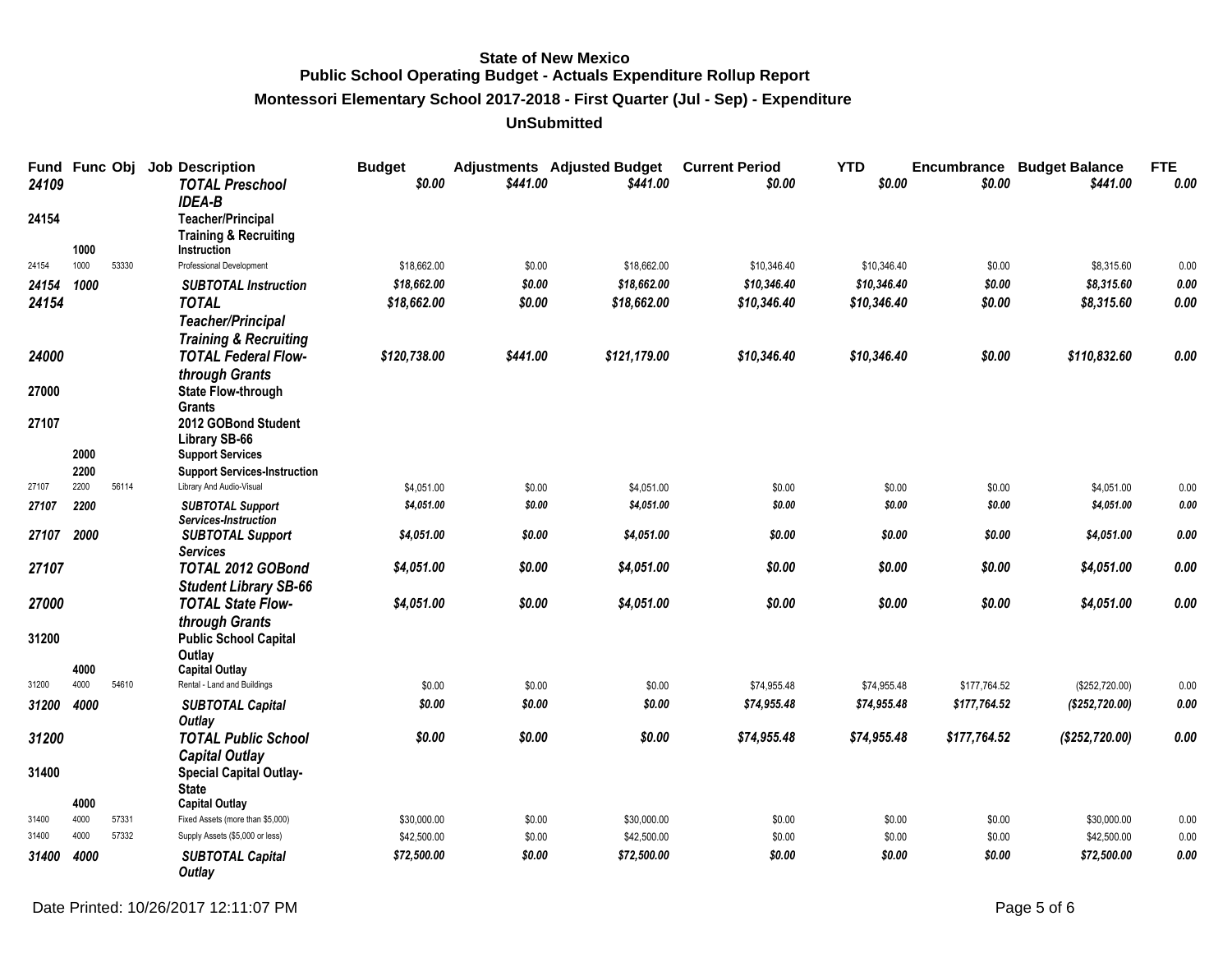**Montessori Elementary School 2017-2018 - First Quarter (Jul - Sep) - Expenditure**

| Fund<br>24109 | Func Obj |       | <b>Job Description</b><br><b>TOTAL Preschool</b><br><b>IDEA-B</b>                  | <b>Budget</b><br>\$0.00 | \$441.00 | <b>Adjustments</b> Adjusted Budget<br>\$441.00 | <b>Current Period</b><br>\$0.00 | <b>YTD</b><br>\$0.00 | \$0.00       | <b>Encumbrance Budget Balance</b><br>\$441.00 | <b>FTE</b><br>0.00 |
|---------------|----------|-------|------------------------------------------------------------------------------------|-------------------------|----------|------------------------------------------------|---------------------------------|----------------------|--------------|-----------------------------------------------|--------------------|
| 24154         | 1000     |       | <b>Teacher/Principal</b><br><b>Training &amp; Recruiting</b><br><b>Instruction</b> |                         |          |                                                |                                 |                      |              |                                               |                    |
| 24154         | 1000     | 53330 | Professional Development                                                           | \$18,662.00             | \$0.00   | \$18,662.00                                    | \$10,346.40                     | \$10,346.40          | \$0.00       | \$8,315.60                                    | 0.00               |
| 24154         | 1000     |       | <b>SUBTOTAL Instruction</b>                                                        | \$18,662.00             | \$0.00   | \$18,662.00                                    | \$10,346.40                     | \$10,346.40          | \$0.00       | \$8,315.60                                    | $0.00\,$           |
| 24154         |          |       | <b>TOTAL</b>                                                                       | \$18,662.00             | \$0.00   | \$18,662.00                                    | \$10,346.40                     | \$10,346.40          | \$0.00       | \$8,315.60                                    | 0.00               |
|               |          |       | <b>Teacher/Principal</b><br><b>Training &amp; Recruiting</b>                       |                         |          |                                                |                                 |                      |              |                                               |                    |
| 24000         |          |       | <b>TOTAL Federal Flow-</b>                                                         | \$120,738.00            | \$441.00 | \$121,179.00                                   | \$10,346.40                     | \$10,346.40          | \$0.00       | \$110,832.60                                  | 0.00               |
| 27000         |          |       | through Grants<br><b>State Flow-through</b>                                        |                         |          |                                                |                                 |                      |              |                                               |                    |
| 27107         |          |       | <b>Grants</b><br>2012 GOBond Student                                               |                         |          |                                                |                                 |                      |              |                                               |                    |
|               | 2000     |       | Library SB-66<br><b>Support Services</b>                                           |                         |          |                                                |                                 |                      |              |                                               |                    |
|               | 2200     |       | <b>Support Services-Instruction</b>                                                |                         |          |                                                |                                 |                      |              |                                               |                    |
| 27107         | 2200     | 56114 | Library And Audio-Visual                                                           | \$4,051.00              | \$0.00   | \$4,051.00                                     | \$0.00                          | \$0.00               | \$0.00       | \$4,051.00                                    | 0.00               |
| 27107         | 2200     |       | <b>SUBTOTAL Support</b><br>Services-Instruction                                    | \$4,051.00              | \$0.00   | \$4,051.00                                     | \$0.00                          | \$0.00               | \$0.00       | \$4,051.00                                    | 0.00               |
| 27107 2000    |          |       | <b>SUBTOTAL Support</b><br><b>Services</b>                                         | \$4,051.00              | \$0.00   | \$4,051.00                                     | \$0.00                          | \$0.00               | \$0.00       | \$4,051.00                                    | 0.00               |
| 27107         |          |       | TOTAL 2012 GOBond<br><b>Student Library SB-66</b>                                  | \$4,051.00              | \$0.00   | \$4,051.00                                     | \$0.00                          | \$0.00               | \$0.00       | \$4,051.00                                    | 0.00               |
| 27000         |          |       | <b>TOTAL State Flow-</b>                                                           | \$4,051.00              | \$0.00   | \$4,051.00                                     | \$0.00                          | \$0.00               | \$0.00       | \$4,051.00                                    | 0.00               |
| 31200         |          |       | through Grants<br><b>Public School Capital</b>                                     |                         |          |                                                |                                 |                      |              |                                               |                    |
|               |          |       | Outlay                                                                             |                         |          |                                                |                                 |                      |              |                                               |                    |
|               | 4000     |       | <b>Capital Outlay</b>                                                              |                         |          |                                                |                                 |                      |              |                                               |                    |
| 31200         | 4000     | 54610 | Rental - Land and Buildings                                                        | \$0.00                  | \$0.00   | \$0.00                                         | \$74,955.48                     | \$74,955.48          | \$177,764.52 | (\$252,720.00)                                | 0.00               |
| 31200         | 4000     |       | <b>SUBTOTAL Capital</b><br>Outlay                                                  | \$0.00                  | \$0.00   | \$0.00                                         | \$74,955.48                     | \$74,955.48          | \$177,764.52 | (\$252, 720.00)                               | 0.00               |
| 31200         |          |       | <b>TOTAL Public School</b>                                                         | \$0.00                  | \$0.00   | \$0.00                                         | \$74,955.48                     | \$74,955.48          | \$177,764.52 | (\$252, 720.00)                               | 0.00               |
|               |          |       | <b>Capital Outlay</b>                                                              |                         |          |                                                |                                 |                      |              |                                               |                    |
| 31400         |          |       | <b>Special Capital Outlay-</b><br><b>State</b>                                     |                         |          |                                                |                                 |                      |              |                                               |                    |
|               | 4000     |       | <b>Capital Outlay</b>                                                              |                         |          |                                                |                                 |                      |              |                                               |                    |
| 31400         | 4000     | 57331 | Fixed Assets (more than \$5,000)                                                   | \$30,000.00             | \$0.00   | \$30,000.00                                    | \$0.00                          | \$0.00               | \$0.00       | \$30,000.00                                   | 0.00               |
| 31400         | 4000     | 57332 | Supply Assets (\$5,000 or less)                                                    | \$42,500.00             | \$0.00   | \$42,500.00                                    | \$0.00                          | \$0.00               | \$0.00       | \$42,500.00                                   | 0.00               |
| 31400         | 4000     |       | <b>SUBTOTAL Capital</b><br>Outlay                                                  | \$72,500.00             | \$0.00   | \$72,500.00                                    | \$0.00                          | \$0.00               | \$0.00       | \$72,500.00                                   | 0.00               |